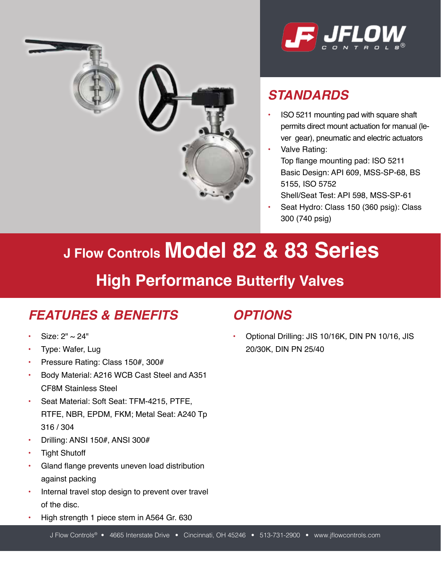



# *STANDARDS*

- ISO 5211 mounting pad with square shaft permits direct mount actuation for manual (lever gear), pneumatic and electric actuators
- Valve Rating: Top flange mounting pad: ISO 5211 Basic Design: API 609, MSS-SP-68, BS 5155, ISO 5752
	- Shell/Seat Test: API 598, MSS-SP-61
- Seat Hydro: Class 150 (360 psig): Class 300 (740 psig)

# **J Flow Controls Model 82 & 83 Series**

# **High Performance Butterfly Valves**

# *FEATURES & BENEFITS*

- Size:  $2" \sim 24"$
- Type: Wafer, Lug
- Pressure Rating: Class 150#, 300#
- Body Material: A216 WCB Cast Steel and A351 CF8M Stainless Steel
- Seat Material: Soft Seat: TFM-4215, PTFE, RTFE, NBR, EPDM, FKM; Metal Seat: A240 Tp 316 / 304
- Drilling: ANSI 150#, ANSI 300#
- **Tight Shutoff**
- Gland flange prevents uneven load distribution against packing
- Internal travel stop design to prevent over travel of the disc.
- High strength 1 piece stem in A564 Gr. 630

#### *OPTIONS*

• Optional Drilling: JIS 10/16K, DIN PN 10/16, JIS 20/30K, DIN PN 25/40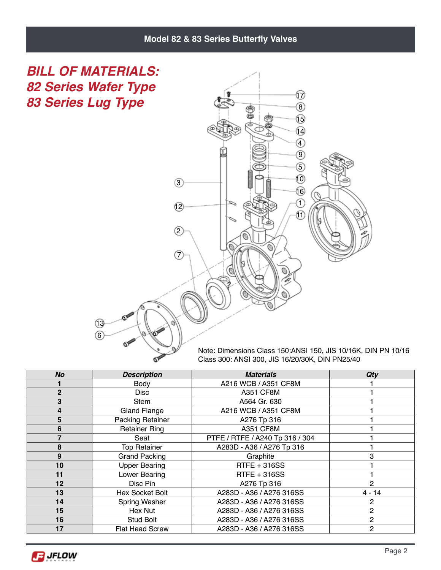#### **Model 82 & 83 Series Butterfly Valves**

*BILL OF MATERIALS: 82 Series Wafer Type 83 Series Lug Type*



Note: Dimensions Class 150:ANSI 150, JIS 10/16K, DIN PN 10/16 Class 300: ANSI 300, JIS 16/20/30K, DIN PN25/40

| <b>No</b>    | <b>Description</b>      | <b>Materials</b>                | Qty            |
|--------------|-------------------------|---------------------------------|----------------|
|              | Body                    | A216 WCB / A351 CF8M            |                |
| $\mathbf{2}$ | Disc                    | <b>A351 CF8M</b>                |                |
| 3            | Stem                    | A564 Gr. 630                    |                |
| 4            | Gland Flange            | A216 WCB / A351 CF8M            |                |
| 5            | <b>Packing Retainer</b> | A276 Tp 316                     |                |
| 6            | <b>Retainer Ring</b>    | <b>A351 CF8M</b>                |                |
|              | Seat                    | PTFE / RTFE / A240 Tp 316 / 304 |                |
| 8            | <b>Top Retainer</b>     | A283D - A36 / A276 Tp 316       |                |
| 9            | <b>Grand Packing</b>    | Graphite                        | 3              |
| 10           | <b>Upper Bearing</b>    | RTFE + 316SS                    |                |
| 11           | Lower Bearing           | RTFE + 316SS                    |                |
| 12           | Disc Pin                | A276 Tp 316                     | 2              |
| 13           | <b>Hex Socket Bolt</b>  | A283D - A36 / A276 316SS        | $4 - 14$       |
| 14           | Spring Washer           | A283D - A36 / A276 316SS        | $\overline{2}$ |
| 15           | Hex Nut                 | A283D - A36 / A276 316SS        | $\overline{2}$ |
| 16           | Stud Bolt               | A283D - A36 / A276 316SS        | $\mathcal{P}$  |
| 17           | <b>Flat Head Screw</b>  | A283D - A36 / A276 316SS        | $\overline{2}$ |

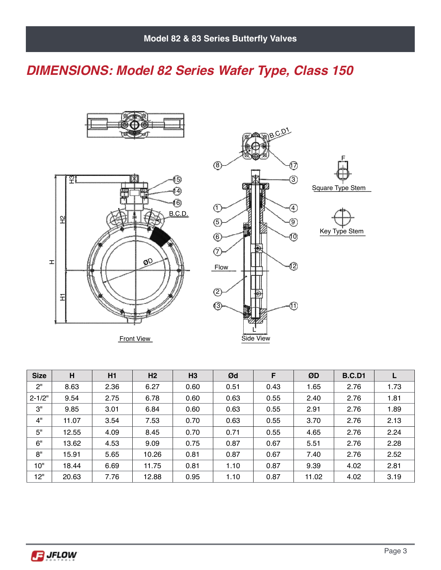### *DIMENSIONS: Model 82 Series Wafer Type, Class 150*





Front View



| <b>Size</b> | H     | H1   | H <sub>2</sub> | H3   | Ød   | F    | ØD    | <b>B.C.D1</b> |      |
|-------------|-------|------|----------------|------|------|------|-------|---------------|------|
| 2"          | 8.63  | 2.36 | 6.27           | 0.60 | 0.51 | 0.43 | 1.65  | 2.76          | 1.73 |
| $2 - 1/2"$  | 9.54  | 2.75 | 6.78           | 0.60 | 0.63 | 0.55 | 2.40  | 2.76          | 1.81 |
| 3"          | 9.85  | 3.01 | 6.84           | 0.60 | 0.63 | 0.55 | 2.91  | 2.76          | 1.89 |
| 4"          | 11.07 | 3.54 | 7.53           | 0.70 | 0.63 | 0.55 | 3.70  | 2.76          | 2.13 |
| 5"          | 12.55 | 4.09 | 8.45           | 0.70 | 0.71 | 0.55 | 4.65  | 2.76          | 2.24 |
| 6"          | 13.62 | 4.53 | 9.09           | 0.75 | 0.87 | 0.67 | 5.51  | 2.76          | 2.28 |
| 8"          | 15.91 | 5.65 | 10.26          | 0.81 | 0.87 | 0.67 | 7.40  | 2.76          | 2.52 |
| 10"         | 18.44 | 6.69 | 11.75          | 0.81 | 1.10 | 0.87 | 9.39  | 4.02          | 2.81 |
| 12"         | 20.63 | 7.76 | 12.88          | 0.95 | 1.10 | 0.87 | 11.02 | 4.02          | 3.19 |

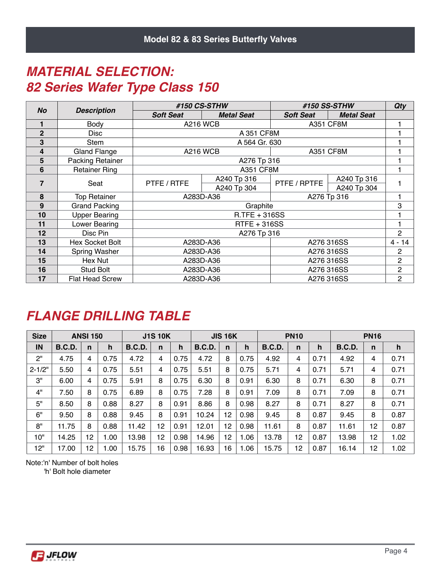#### *MATERIAL SELECTION: 82 Series Wafer Type Class 150*

|                |                         |                  | #150 CS-STHW      |                  | #150 SS-STHW      | Qty            |
|----------------|-------------------------|------------------|-------------------|------------------|-------------------|----------------|
| <b>No</b>      | <b>Description</b>      | <b>Soft Seat</b> | <b>Metal Seat</b> | <b>Soft Seat</b> | <b>Metal Seat</b> |                |
|                | Body                    |                  | <b>A216 WCB</b>   | <b>A351 CF8M</b> |                   |                |
| $\overline{2}$ | Disc                    |                  | A 351 CF8M        |                  |                   |                |
| 3              | Stem                    |                  | A 564 Gr. 630     |                  |                   |                |
| 4              | <b>Gland Flange</b>     |                  | <b>A216 WCB</b>   | <b>A351 CF8M</b> |                   |                |
| 5              | <b>Packing Retainer</b> |                  | A276 Tp 316       |                  |                   |                |
| 6              | <b>Retainer Ring</b>    |                  | <b>A351 CF8M</b>  |                  |                   |                |
| $\overline{7}$ |                         | PTFE / RTFE      | A240 Tp 316       | PTFE / RPTFE     | A240 Tp 316       |                |
|                | Seat                    |                  | A240 Tp 304       |                  | A240 Tp 304       |                |
| 8              | Top Retainer            |                  | A283D-A36         | A276 Tp 316      |                   |                |
| 9              | <b>Grand Packing</b>    |                  | Graphite          |                  |                   | 3              |
| 10             | <b>Upper Bearing</b>    |                  | $R.$ TFE + 316SS  |                  |                   |                |
| 11             | Lower Bearing           |                  | RTFE + 316SS      |                  |                   |                |
| 12             | Disc Pin                |                  | A276 Tp 316       |                  |                   | $\overline{2}$ |
| 13             | <b>Hex Socket Bolt</b>  |                  | A283D-A36         | A276 316SS       |                   | $4 - 14$       |
| 14             | Spring Washer           |                  | A283D-A36         | A276 316SS       |                   | $\mathbf{2}$   |
| 15             | Hex Nut                 |                  | A283D-A36         | A276 316SS       |                   | $\overline{c}$ |
| 16             | <b>Stud Bolt</b>        |                  | A283D-A36         | A276 316SS       |                   | $\overline{c}$ |
| 17             | <b>Flat Head Screw</b>  |                  | A283D-A36         | A276 316SS       |                   | $\overline{c}$ |

#### *FLANGE DRILLING TABLE*

| <b>Size</b> |               | <b>ANSI 150</b> |      |               | <b>J1S 10K</b> |      |               | <b>JIS 16K</b> |      |               | <b>PN10</b>  |      |               | <b>PN16</b> |      |
|-------------|---------------|-----------------|------|---------------|----------------|------|---------------|----------------|------|---------------|--------------|------|---------------|-------------|------|
| IN          | <b>B.C.D.</b> | n               | h    | <b>B.C.D.</b> | n              | h    | <b>B.C.D.</b> | $\mathbf n$    | h    | <b>B.C.D.</b> | $\mathsf{n}$ | h    | <b>B.C.D.</b> | n           | h    |
| 2"          | 4.75          | 4               | 0.75 | 4.72          | 4              | 0.75 | 4.72          | 8              | 0.75 | 4.92          | 4            | 0.71 | 4.92          | 4           | 0.71 |
| $2 - 1/2"$  | 5.50          | 4               | 0.75 | 5.51          | 4              | 0.75 | 5.51          | 8              | 0.75 | 5.71          | 4            | 0.71 | 5.71          | 4           | 0.71 |
| З"          | 6.00          | 4               | 0.75 | 5.91          | 8              | 0.75 | 6.30          | 8              | 0.91 | 6.30          | 8            | 0.71 | 6.30          | 8           | 0.71 |
| 4"          | 7.50          | 8               | 0.75 | 6.89          | 8              | 0.75 | 7.28          | 8              | 0.91 | 7.09          | 8            | 0.71 | 7.09          | 8           | 0.71 |
| 5"          | 8.50          | 8               | 0.88 | 8.27          | 8              | 0.91 | 8.86          | 8              | 0.98 | 8.27          | 8            | 0.71 | 8.27          | 8           | 0.71 |
| 6"          | 9.50          | 8               | 0.88 | 9.45          | 8              | 0.91 | 10.24         | 12             | 0.98 | 9.45          | 8            | 0.87 | 9.45          | 8           | 0.87 |
| 8"          | 11.75         | 8               | 0.88 | 11.42         | 12             | 0.91 | 12.01         | 12             | 0.98 | 11.61         | 8            | 0.87 | 11.61         | 12          | 0.87 |
| 10"         | 14.25         | 12              | 00.1 | 13.98         | 12             | 0.98 | 14.96         | 12             | 1.06 | 13.78         | 12           | 0.87 | 13.98         | 12          | 1.02 |
| 12"         | 17.00         | 12              | 1.00 | 15.75         | 16             | 0.98 | 16.93         | 16             | 1.06 | 15.75         | 12           | 0.87 | 16.14         | 12          | 1.02 |

Note:'n' Number of bolt holes

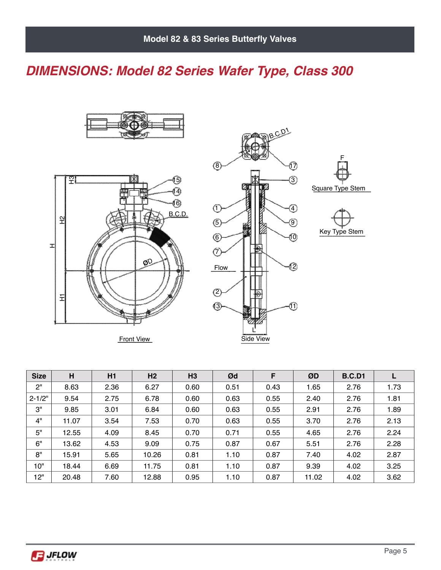# *DIMENSIONS: Model 82 Series Wafer Type, Class 300*





Front View



| <b>Size</b> | H     | H1   | H <sub>2</sub> | H <sub>3</sub> | Ød   | F    | ØD    | <b>B.C.D1</b> |      |
|-------------|-------|------|----------------|----------------|------|------|-------|---------------|------|
| 2"          | 8.63  | 2.36 | 6.27           | 0.60           | 0.51 | 0.43 | 1.65  | 2.76          | 1.73 |
| $2 - 1/2"$  | 9.54  | 2.75 | 6.78           | 0.60           | 0.63 | 0.55 | 2.40  | 2.76          | 1.81 |
| 3"          | 9.85  | 3.01 | 6.84           | 0.60           | 0.63 | 0.55 | 2.91  | 2.76          | 1.89 |
| 4"          | 11.07 | 3.54 | 7.53           | 0.70           | 0.63 | 0.55 | 3.70  | 2.76          | 2.13 |
| 5"          | 12.55 | 4.09 | 8.45           | 0.70           | 0.71 | 0.55 | 4.65  | 2.76          | 2.24 |
| 6"          | 13.62 | 4.53 | 9.09           | 0.75           | 0.87 | 0.67 | 5.51  | 2.76          | 2.28 |
| 8"          | 15.91 | 5.65 | 10.26          | 0.81           | 1.10 | 0.87 | 7.40  | 4.02          | 2.87 |
| 10"         | 18.44 | 6.69 | 11.75          | 0.81           | 1.10 | 0.87 | 9.39  | 4.02          | 3.25 |
| 12"         | 20.48 | 7.60 | 12.88          | 0.95           | 1.10 | 0.87 | 11.02 | 4.02          | 3.62 |

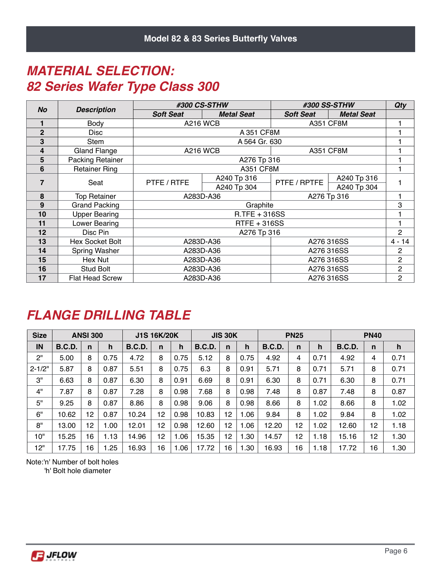#### *MATERIAL SELECTION: 82 Series Wafer Type Class 300*

| <b>No</b>      |                         |                  | #300 CS-STHW         |                  | #300 SS-STHW      | Qty            |
|----------------|-------------------------|------------------|----------------------|------------------|-------------------|----------------|
|                | <b>Description</b>      | <b>Soft Seat</b> | <b>Metal Seat</b>    | <b>Soft Seat</b> | <b>Metal Seat</b> |                |
|                | Body                    |                  | <b>A216 WCB</b>      | <b>A351 CF8M</b> |                   |                |
| $\overline{2}$ | Disc                    |                  | A 351 CF8M           |                  |                   |                |
| 3              | Stem                    |                  | A 564 Gr. 630        |                  |                   |                |
| 4              | <b>Gland Flange</b>     |                  | <b>A216 WCB</b>      | <b>A351 CF8M</b> |                   |                |
| 5              | <b>Packing Retainer</b> |                  | A276 Tp 316          |                  |                   |                |
| 6              | <b>Retainer Ring</b>    |                  | <b>A351 CF8M</b>     |                  |                   |                |
| 7              | Seat                    | PTFE / RTFE      | A240 Tp 316          | PTFE / RPTFE     | A240 Tp 316       |                |
|                |                         |                  | A240 Tp 304          |                  | A240 Tp 304       |                |
| 8              | <b>Top Retainer</b>     |                  | A283D-A36            |                  | A276 Tp 316       |                |
| 9              | <b>Grand Packing</b>    |                  | Graphite             |                  |                   | 3              |
| 10             | <b>Upper Bearing</b>    |                  | <b>R.TFE + 316SS</b> |                  |                   |                |
| 11             | Lower Bearing           |                  | <b>RTFE + 316SS</b>  |                  |                   |                |
| 12             | Disc Pin                |                  | A276 Tp 316          |                  |                   | $\overline{2}$ |
| 13             | Hex Socket Bolt         |                  | A283D-A36            | A276 316SS       |                   | $4 - 14$       |
| 14             | Spring Washer           |                  | A283D-A36            |                  | A276 316SS        | $\overline{c}$ |
| 15             | Hex Nut                 |                  | A283D-A36            | A276 316SS       |                   | 2              |
| 16             | Stud Bolt               |                  | A283D-A36            |                  | A276 316SS        | $\mathbf{2}$   |
| 17             | <b>Flat Head Screw</b>  |                  | A283D-A36            | A276 316SS       |                   | $\overline{c}$ |

#### *FLANGE DRILLING TABLE*

| <b>Size</b> |               | <b>ANSI 300</b> |      |               | <b>J1S 16K/20K</b> |      |               | <b>JIS 30K</b> |      |               | <b>PN25</b>  |      |               | <b>PN40</b>  |      |
|-------------|---------------|-----------------|------|---------------|--------------------|------|---------------|----------------|------|---------------|--------------|------|---------------|--------------|------|
| IN          | <b>B.C.D.</b> | n               | h    | <b>B.C.D.</b> | n                  | h    | <b>B.C.D.</b> | n              | h    | <b>B.C.D.</b> | $\mathsf{n}$ | h    | <b>B.C.D.</b> | $\mathsf{n}$ | h    |
| 2"          | 5.00          | 8               | 0.75 | 4.72          | 8                  | 0.75 | 5.12          | 8              | 0.75 | 4.92          | 4            | 0.71 | 4.92          | 4            | 0.71 |
| $2 - 1/2"$  | 5.87          | 8               | 0.87 | 5.51          | 8                  | 0.75 | 6.3           | 8              | 0.91 | 5.71          | 8            | 0.71 | 5.71          | 8            | 0.71 |
| 3"          | 6.63          | 8               | 0.87 | 6.30          | 8                  | 0.91 | 6.69          | 8              | 0.91 | 6.30          | 8            | 0.71 | 6.30          | 8            | 0.71 |
| 4"          | 7.87          | 8               | 0.87 | 7.28          | 8                  | 0.98 | 7.68          | 8              | 0.98 | 7.48          | 8            | 0.87 | 7.48          | 8            | 0.87 |
| 5"          | 9.25          | 8               | 0.87 | 8.86          | 8                  | 0.98 | 9.06          | 8              | 0.98 | 8.66          | 8            | 1.02 | 8.66          | 8            | 1.02 |
| 6"          | 10.62         | 12              | 0.87 | 10.24         | 12                 | 0.98 | 10.83         | 12             | 1.06 | 9.84          | 8            | 1.02 | 9.84          | 8            | 1.02 |
| 8"          | 13.00         | 12              | 1.00 | 12.01         | 12                 | 0.98 | 12.60         | 12             | 1.06 | 12.20         | 12           | 1.02 | 12.60         | 12           | 1.18 |
| 10"         | 15.25         | 16              | 1.13 | 14.96         | 12                 | 1.06 | 15.35         | 12             | 1.30 | 14.57         | 12           | 1.18 | 15.16         | 12           | 1.30 |
| 12"         | 17.75         | 16              | 1.25 | 16.93         | 16                 | 1.06 | 17.72         | 16             | 1.30 | 16.93         | 16           | 1.18 | 17.72         | 16           | 1.30 |

Note:'n' Number of bolt holes

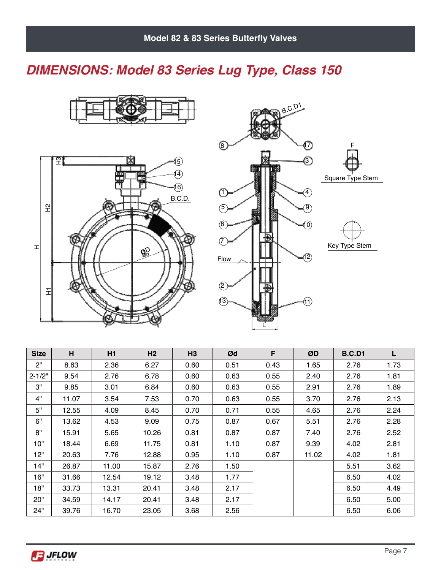# *DIMENSIONS: Model 83 Series Lug Type, Class 150*







| <b>Size</b> | H     | H <sub>1</sub> | H <sub>2</sub> | H <sub>3</sub> | Ød   | F    | ØD    | <b>B.C.D1</b> | L    |
|-------------|-------|----------------|----------------|----------------|------|------|-------|---------------|------|
| 2"          | 8.63  | 2.36           | 6.27           | 0.60           | 0.51 | 0.43 | 1.65  | 2.76          | 1.73 |
| $2 - 1/2"$  | 9.54  | 2.76           | 6.78           | 0.60           | 0.63 | 0.55 | 2.40  | 2.76          | 1.81 |
| З"          | 9.85  | 3.01           | 6.84           | 0.60           | 0.63 | 0.55 | 2.91  | 2.76          | 1.89 |
| 4"          | 11.07 | 3.54           | 7.53           | 0.70           | 0.63 | 0.55 | 3.70  | 2.76          | 2.13 |
| 5"          | 12.55 | 4.09           | 8.45           | 0.70           | 0.71 | 0.55 | 4.65  | 2.76          | 2.24 |
| 6"          | 13.62 | 4.53           | 9.09           | 0.75           | 0.87 | 0.67 | 5.51  | 2.76          | 2.28 |
| 8"          | 15.91 | 5.65           | 10.26          | 0.81           | 0.87 | 0.87 | 7.40  | 2.76          | 2.52 |
| 10"         | 18.44 | 6.69           | 11.75          | 0.81           | 1.10 | 0.87 | 9.39  | 4.02          | 2.81 |
| 12"         | 20.63 | 7.76           | 12.88          | 0.95           | 1.10 | 0.87 | 11.02 | 4.02          | 1.81 |
| 14"         | 26.87 | 11.00          | 15.87          | 2.76           | 1.50 |      |       | 5.51          | 3.62 |
| 16"         | 31.66 | 12.54          | 19.12          | 3.48           | 1.77 |      |       | 6.50          | 4.02 |
| 18"         | 33.73 | 13.31          | 20.41          | 3.48           | 2.17 |      |       | 6.50          | 4.49 |
| 20"         | 34.59 | 14.17          | 20.41          | 3.48           | 2.17 |      |       | 6.50          | 5.00 |
| 24"         | 39.76 | 16.70          | 23.05          | 3.68           | 2.56 |      |       | 6.50          | 6.06 |

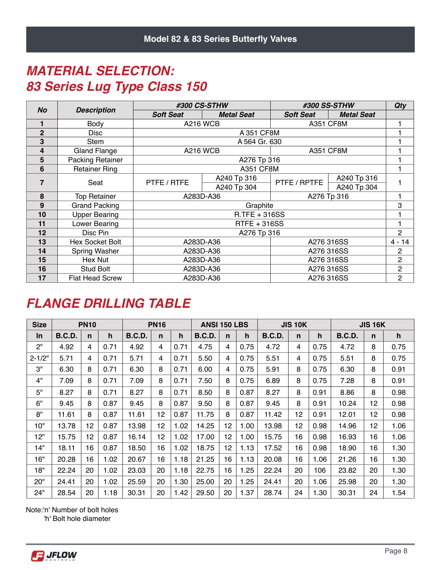#### *MATERIAL SELECTION: 83 Series Lug Type Class 150*

|                |                         |                  | #300 CS-STHW      |                  | #300 SS-STHW      | <b>Qty</b>     |
|----------------|-------------------------|------------------|-------------------|------------------|-------------------|----------------|
| <b>No</b>      | <b>Description</b>      | <b>Soft Seat</b> | <b>Metal Seat</b> | <b>Soft Seat</b> | <b>Metal Seat</b> |                |
|                | Body                    |                  | <b>A216 WCB</b>   | <b>A351 CF8M</b> |                   |                |
| $\overline{2}$ | Disc                    |                  | A 351 CF8M        |                  |                   |                |
| 3              | Stem                    |                  | A 564 Gr. 630     |                  |                   |                |
| 4              | <b>Gland Flange</b>     |                  | <b>A216 WCB</b>   | <b>A351 CF8M</b> |                   |                |
| 5              | <b>Packing Retainer</b> |                  | A276 Tp 316       |                  |                   |                |
| 6              | <b>Retainer Ring</b>    |                  | <b>A351 CF8M</b>  |                  |                   |                |
| 7              | Seat                    | PTFE / RTFE      | A240 Tp 316       | PTFE / RPTFE     | A240 Tp 316       |                |
|                |                         |                  | A240 Tp 304       |                  | A240 Tp 304       |                |
| 8              | <b>Top Retainer</b>     |                  | A283D-A36         |                  | A276 Tp 316       |                |
| 9              | <b>Grand Packing</b>    |                  | Graphite          |                  |                   | 3              |
| 10             | <b>Upper Bearing</b>    |                  | $R.$ TFE + 316SS  |                  |                   |                |
| 11             | Lower Bearing           |                  | RTFE + 316SS      |                  |                   |                |
| 12             | Disc Pin                |                  | A276 Tp 316       |                  |                   | $\overline{2}$ |
| 13             | <b>Hex Socket Bolt</b>  |                  | A283D-A36         |                  | A276 316SS        | $4 - 14$       |
| 14             | Spring Washer           |                  | A283D-A36         |                  | A276 316SS        | $\mathbf{2}$   |
| 15             | Hex Nut                 |                  | A283D-A36         |                  | A276 316SS        | 2              |
| 16             | <b>Stud Bolt</b>        |                  | A283D-A36         | A276 316SS       | $\overline{c}$    |                |
| 17             | <b>Flat Head Screw</b>  |                  | A283D-A36         |                  | A276 316SS        | $\mathbf{2}$   |

#### *FLANGE DRILLING TABLE*

| <b>Size</b> |               | <b>PN10</b> |      |               | <b>PN16</b> |      | <b>ANSI 150 LBS</b> |              |      |               | <b>JIS 10K</b> |      |               | <b>JIS 16K</b> |      |
|-------------|---------------|-------------|------|---------------|-------------|------|---------------------|--------------|------|---------------|----------------|------|---------------|----------------|------|
| In.         | <b>B.C.D.</b> | n           | h    | <b>B.C.D.</b> | n           | h    | <b>B.C.D.</b>       | $\mathsf{n}$ | h    | <b>B.C.D.</b> | $\mathsf{n}$   | h    | <b>B.C.D.</b> | n              | h    |
| 2"          | 4.92          | 4           | 0.71 | 4.92          | 4           | 0.71 | 4.75                | 4            | 0.75 | 4.72          | 4              | 0.75 | 4.72          | 8              | 0.75 |
| $2 - 1/2"$  | 5.71          | 4           | 0.71 | 5.71          | 4           | 0.71 | 5.50                | 4            | 0.75 | 5.51          | 4              | 0.75 | 5.51          | 8              | 0.75 |
| З"          | 6.30          | 8           | 0.71 | 6.30          | 8           | 0.71 | 6.00                | 4            | 0.75 | 5.91          | 8              | 0.75 | 6.30          | 8              | 0.91 |
| 4"          | 7.09          | 8           | 0.71 | 7.09          | 8           | 0.71 | 7.50                | 8            | 0.75 | 6.89          | 8              | 0.75 | 7.28          | 8              | 0.91 |
| 5"          | 8.27          | 8           | 0.71 | 8.27          | 8           | 0.71 | 8.50                | 8            | 0.87 | 8.27          | 8              | 0.91 | 8.86          | 8              | 0.98 |
| 6"          | 9.45          | 8           | 0.87 | 9.45          | 8           | 0.87 | 9.50                | 8            | 0.87 | 9.45          | 8              | 0.91 | 10.24         | 12             | 0.98 |
| 8"          | 11.61         | 8           | 0.87 | 11.61         | 12          | 0.87 | 11.75               | 8            | 0.87 | 11.42         | 12             | 0.91 | 12.01         | 12             | 0.98 |
| 10"         | 13.78         | 12          | 0.87 | 13.98         | 12          | 1.02 | 14.25               | 12           | 1.00 | 13.98         | 12             | 0.98 | 14.96         | 12             | 1.06 |
| 12"         | 15.75         | 12          | 0.87 | 16.14         | 12          | 1.02 | 17.00               | 12           | 1.00 | 15.75         | 16             | 0.98 | 16.93         | 16             | 1.06 |
| 14"         | 18.11         | 16          | 0.87 | 18.50         | 16          | 1.02 | 18.75               | 12           | 1.13 | 17.52         | 16             | 0.98 | 18.90         | 16             | 1.30 |
| 16"         | 20.28         | 16          | 1.02 | 20.67         | 16          | 1.18 | 21.25               | 16           | 1.13 | 20.08         | 16             | 1.06 | 21.26         | 16             | 1.30 |
| 18"         | 22.24         | 20          | 1.02 | 23.03         | 20          | 1.18 | 22.75               | 16           | 1.25 | 22.24         | 20             | 106  | 23.82         | 20             | 1.30 |
| 20"         | 24.41         | 20          | 1.02 | 25.59         | 20          | 1.30 | 25.00               | 20           | 1.25 | 24.41         | 20             | 1.06 | 25.98         | 20             | 1.30 |
| 24"         | 28.54         | 20          | 1.18 | 30.31         | 20          | 1.42 | 29.50               | 20           | 1.37 | 28.74         | 24             | 1.30 | 30.31         | 24             | 1.54 |

Note:'n' Number of bolt holes

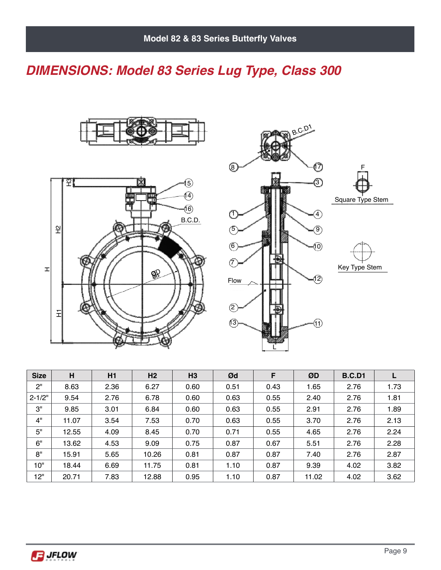# *DIMENSIONS: Model 83 Series Lug Type, Class 300*







| <b>Size</b> | H     | H1   | H <sub>2</sub> | H <sub>3</sub> | Ød   | F    | ØD    | <b>B.C.D1</b> |      |
|-------------|-------|------|----------------|----------------|------|------|-------|---------------|------|
| 2"          | 8.63  | 2.36 | 6.27           | 0.60           | 0.51 | 0.43 | 1.65  | 2.76          | 1.73 |
| $2 - 1/2"$  | 9.54  | 2.76 | 6.78           | 0.60           | 0.63 | 0.55 | 2.40  | 2.76          | 1.81 |
| З"          | 9.85  | 3.01 | 6.84           | 0.60           | 0.63 | 0.55 | 2.91  | 2.76          | 1.89 |
| 4"          | 11.07 | 3.54 | 7.53           | 0.70           | 0.63 | 0.55 | 3.70  | 2.76          | 2.13 |
| 5"          | 12.55 | 4.09 | 8.45           | 0.70           | 0.71 | 0.55 | 4.65  | 2.76          | 2.24 |
| 6"          | 13.62 | 4.53 | 9.09           | 0.75           | 0.87 | 0.67 | 5.51  | 2.76          | 2.28 |
| 8"          | 15.91 | 5.65 | 10.26          | 0.81           | 0.87 | 0.87 | 7.40  | 2.76          | 2.87 |
| 10"         | 18.44 | 6.69 | 11.75          | 0.81           | 1.10 | 0.87 | 9.39  | 4.02          | 3.82 |
| 12"         | 20.71 | 7.83 | 12.88          | 0.95           | 1.10 | 0.87 | 11.02 | 4.02          | 3.62 |

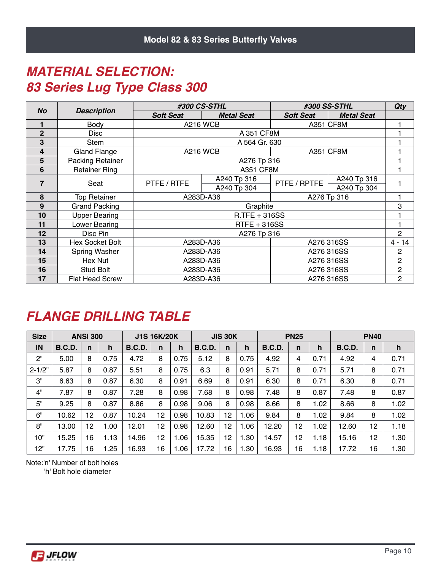### *MATERIAL SELECTION: 83 Series Lug Type Class 300*

|                |                         |                  | #300 CS-STHL      | #300 SS-STHL     |                   | <b>Qty</b>     |
|----------------|-------------------------|------------------|-------------------|------------------|-------------------|----------------|
| <b>No</b>      | <b>Description</b>      | <b>Soft Seat</b> | <b>Metal Seat</b> | <b>Soft Seat</b> | <b>Metal Seat</b> |                |
|                | Body                    |                  | <b>A216 WCB</b>   | <b>A351 CF8M</b> |                   |                |
| $\overline{2}$ | Disc                    |                  | A 351 CF8M        |                  |                   |                |
| 3              | Stem                    |                  | A 564 Gr. 630     |                  |                   |                |
| 4              | Gland Flange            |                  | <b>A216 WCB</b>   | <b>A351 CF8M</b> |                   |                |
| 5              | <b>Packing Retainer</b> |                  | A276 Tp 316       |                  |                   |                |
| 6              | <b>Retainer Ring</b>    |                  | <b>A351 CF8M</b>  |                  |                   |                |
| 7              | Seat                    | PTFE / RTFE      | A240 Tp 316       | PTFE / RPTFE     | A240 Tp 316       |                |
|                |                         |                  | A240 Tp 304       |                  | A240 Tp 304       |                |
| 8              | <b>Top Retainer</b>     |                  | A283D-A36         | A276 Tp 316      |                   |                |
| 9              | <b>Grand Packing</b>    |                  | Graphite          |                  |                   | 3              |
| 10             | <b>Upper Bearing</b>    |                  | $R.TFE + 316SS$   |                  |                   |                |
| 11             | Lower Bearing           |                  | RTFE + 316SS      |                  |                   |                |
| 12             | Disc Pin                |                  | A276 Tp 316       |                  |                   | $\overline{2}$ |
| 13             | Hex Socket Bolt         |                  | A283D-A36         |                  | A276 316SS        | $4 - 14$       |
| 14             | Spring Washer           | A283D-A36        |                   |                  | A276 316SS        | $\overline{c}$ |
| 15             | Hex Nut                 |                  | A283D-A36         |                  | A276 316SS        | $\overline{c}$ |
| 16             | <b>Stud Bolt</b>        |                  | A283D-A36         | A276 316SS       | $\overline{c}$    |                |
| 17             | <b>Flat Head Screw</b>  |                  | A283D-A36         |                  | A276 316SS        | $\overline{c}$ |

#### *FLANGE DRILLING TABLE*

| <b>Size</b> | <b>ANSI 300</b> |    | <b>J1S 16K/20K</b> |               | <b>JIS 30K</b> |      | <b>PN25</b>   |    |      | <b>PN40</b>   |              |      |               |              |      |
|-------------|-----------------|----|--------------------|---------------|----------------|------|---------------|----|------|---------------|--------------|------|---------------|--------------|------|
| IN          | <b>B.C.D.</b>   | n  | h                  | <b>B.C.D.</b> | $\mathsf{n}$   | h    | <b>B.C.D.</b> | n  | h    | <b>B.C.D.</b> | $\mathsf{n}$ | h    | <b>B.C.D.</b> | $\mathsf{n}$ | h    |
| 2"          | 5.00            | 8  | 0.75               | 4.72          | 8              | 0.75 | 5.12          | 8  | 0.75 | 4.92          | 4            | 0.71 | 4.92          | 4            | 0.71 |
| $2 - 1/2"$  | 5.87            | 8  | 0.87               | 5.51          | 8              | 0.75 | 6.3           | 8  | 0.91 | 5.71          | 8            | 0.71 | 5.71          | 8            | 0.71 |
| 3"          | 6.63            | 8  | 0.87               | 6.30          | 8              | 0.91 | 6.69          | 8  | 0.91 | 6.30          | 8            | 0.71 | 6.30          | 8            | 0.71 |
| 4"          | 7.87            | 8  | 0.87               | 7.28          | 8              | 0.98 | 7.68          | 8  | 0.98 | 7.48          | 8            | 0.87 | 7.48          | 8            | 0.87 |
| 5"          | 9.25            | 8  | 0.87               | 8.86          | 8              | 0.98 | 9.06          | 8  | 0.98 | 8.66          | 8            | 1.02 | 8.66          | 8            | 1.02 |
| 6"          | 10.62           | 12 | 0.87               | 10.24         | 12             | 0.98 | 10.83         | 12 | 1.06 | 9.84          | 8            | 1.02 | 9.84          | 8            | 1.02 |
| 8"          | 13.00           | 12 | 1.00               | 12.01         | 12             | 0.98 | 12.60         | 12 | 1.06 | 12.20         | 12           | 1.02 | 12.60         | 12           | 1.18 |
| 10"         | 15.25           | 16 | 1.13               | 14.96         | 12             | 1.06 | 15.35         | 12 | .30  | 14.57         | 12           | 1.18 | 15.16         | 12           | 1.30 |
| 12"         | 17.75           | 16 | $\overline{.25}$   | 16.93         | 16             | 1.06 | 17.72         | 16 | 1.30 | 16.93         | 16           | 1.18 | 17.72         | 16           | 1.30 |

Note:'n' Number of bolt holes

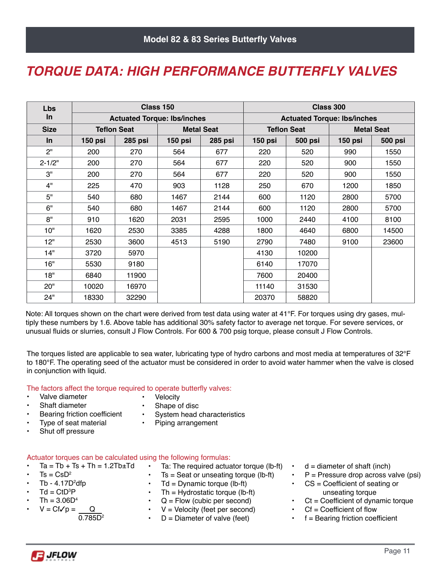#### *TORQUE DATA: HIGH PERFORMANCE BUTTERFLY VALVES*

| <b>Lbs</b>  |         |                                    | Class 150 |                   | Class 300                          |                    |                   |                |  |  |
|-------------|---------|------------------------------------|-----------|-------------------|------------------------------------|--------------------|-------------------|----------------|--|--|
| $\ln$       |         | <b>Actuated Torque: Ibs/inches</b> |           |                   | <b>Actuated Torque: Ibs/inches</b> |                    |                   |                |  |  |
| <b>Size</b> |         | <b>Teflon Seat</b>                 |           | <b>Metal Seat</b> |                                    | <b>Teflon Seat</b> | <b>Metal Seat</b> |                |  |  |
| <b>In</b>   | 150 psi | <b>285 psi</b>                     | 150 psi   | <b>285 psi</b>    | 150 psi                            | <b>500 psi</b>     | 150 psi           | <b>500 psi</b> |  |  |
| 2"          | 200     | 270                                | 564       | 677               | 220                                | 520                | 990               | 1550           |  |  |
| $2 - 1/2"$  | 200     | 270                                | 564       | 677               | 220                                | 520                | 900               | 1550           |  |  |
| 3"          | 200     | 270                                | 564       | 677               | 220                                | 520                | 900               | 1550           |  |  |
| 4"          | 225     | 470                                | 903       | 1128              | 250                                | 670                | 1200              | 1850           |  |  |
| 5"          | 540     | 680                                | 1467      | 2144              | 600                                | 1120               | 2800              | 5700           |  |  |
| 6"          | 540     | 680                                | 1467      | 2144              | 600                                | 1120               | 2800              | 5700           |  |  |
| 8"          | 910     | 1620                               | 2031      | 2595              | 1000                               | 2440               | 4100              | 8100           |  |  |
| 10"         | 1620    | 2530                               | 3385      | 4288              | 1800                               | 4640               | 6800              | 14500          |  |  |
| 12"         | 2530    | 3600                               | 4513      | 5190              | 2790                               | 7480               | 9100              | 23600          |  |  |
| 14"         | 3720    | 5970                               |           |                   | 4130                               | 10200              |                   |                |  |  |
| 16"         | 5530    | 9180                               |           |                   | 6140                               | 17070              |                   |                |  |  |
| 18"         | 6840    | 11900                              |           |                   | 7600                               | 20400              |                   |                |  |  |
| 20"         | 10020   | 16970                              |           |                   | 11140                              | 31530              |                   |                |  |  |
| 24"         | 18330   | 32290                              |           |                   | 20370                              | 58820              |                   |                |  |  |

Note: All torques shown on the chart were derived from test data using water at 41°F. For torques using dry gases, multiply these numbers by 1.6. Above table has additional 30% safety factor to average net torque. For severe services, or unusual fluids or slurries, consult J Flow Controls. For 600 & 700 psig torque, please consult J Flow Controls.

The torques listed are applicable to sea water, lubricating type of hydro carbons and most media at temperatures of 32°F to 180°F. The operating seed of the actuator must be considered in order to avoid water hammer when the valve is closed in conjunction with liquid.

The factors affect the torque required to operate butterfly valves:

- Valve diameter
- Velocity
- Shaft diameter
- 
- 
- Shape of disc<br>• System head System head characteristics
- Bearing friction coefficient • Type of seat material
- Piping arrangement
- Shut off pressure
- 

Actuator torques can be calculated using the following formulas:

- $Ta = Tb + Ts + Th = 1.2Tb \pm Td$
- $Ts = CsD<sup>2</sup>$
- Tb 4.17D<sup>2</sup>dfp
- $Td = CtD^{3}P$
- $Th = 3.06D<sup>4</sup>$
- $V = CfVp = \underline{Q}$ 0.785D<sup>2</sup>
- Ta: The required actuator torque (lb-ft)
- $Ts =$  Seat or unseating torque (lb-ft)
- $Td = Dynamic torque (lb-fit)$
- $Th = Hydrostatic torque (lb-fit)$
- $Q =$  Flow (cubic per second)
- $V =$  Velocity (feet per second)
- $D =$  Diameter of valve (feet)
- $d =$  diameter of shaft (inch)
- $P =$  Pressure drop across valve (psi)
- $CS = Coefficient$  of seating or unseating torque
- $Ct = Coefficient of dynamic torque$
- $Cf = Coefficient of flow$
- $f =$  Bearing friction coefficient

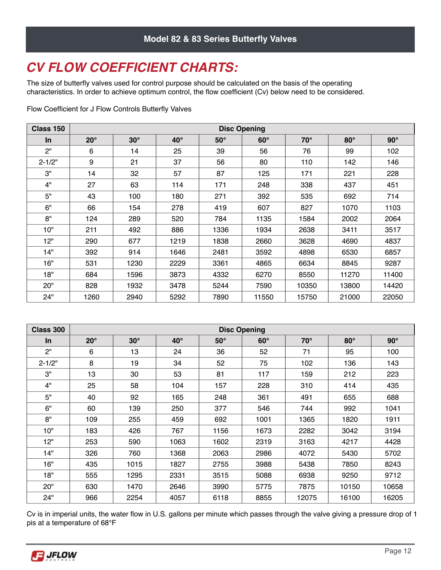## *CV FLOW COEFFICIENT CHARTS:*

The size of butterfly valves used for control purpose should be calculated on the basis of the operating characteristics. In order to achieve optimum control, the flow coefficient (Cv) below need to be considered.

Flow Coefficient for J Flow Controls Butterfly Valves

| Class 150  | <b>Disc Opening</b> |            |              |            |            |            |            |            |  |  |  |  |
|------------|---------------------|------------|--------------|------------|------------|------------|------------|------------|--|--|--|--|
| $\ln$      | $20^\circ$          | $30^\circ$ | $40^{\circ}$ | $50^\circ$ | $60^\circ$ | $70^\circ$ | $80^\circ$ | $90^\circ$ |  |  |  |  |
| 2"         | 6                   | 14         | 25           | 39         | 56         | 76         | 99         | 102        |  |  |  |  |
| $2 - 1/2"$ | 9                   | 21         | 37           | 56         | 80         | 110        | 142        | 146        |  |  |  |  |
| 3"         | 14                  | 32         | 57           | 87         | 125        | 171        | 221        | 228        |  |  |  |  |
| 4"         | 27                  | 63         | 114          | 171        | 248        | 338        | 437        | 451        |  |  |  |  |
| 5"         | 43                  | 100        | 180          | 271        | 392        | 535        | 692        | 714        |  |  |  |  |
| 6"         | 66                  | 154        | 278          | 419        | 607        | 827        | 1070       | 1103       |  |  |  |  |
| 8"         | 124                 | 289        | 520          | 784        | 1135       | 1584       | 2002       | 2064       |  |  |  |  |
| 10"        | 211                 | 492        | 886          | 1336       | 1934       | 2638       | 3411       | 3517       |  |  |  |  |
| 12"        | 290                 | 677        | 1219         | 1838       | 2660       | 3628       | 4690       | 4837       |  |  |  |  |
| 14"        | 392                 | 914        | 1646         | 2481       | 3592       | 4898       | 6530       | 6857       |  |  |  |  |
| 16"        | 531                 | 1230       | 2229         | 3361       | 4865       | 6634       | 8845       | 9287       |  |  |  |  |
| 18"        | 684                 | 1596       | 3873         | 4332       | 6270       | 8550       | 11270      | 11400      |  |  |  |  |
| 20"        | 828                 | 1932       | 3478         | 5244       | 7590       | 10350      | 13800      | 14420      |  |  |  |  |
| 24"        | 1260                | 2940       | 5292         | 7890       | 11550      | 15750      | 21000      | 22050      |  |  |  |  |

| Class 300  | <b>Disc Opening</b> |            |              |            |            |            |            |            |  |  |  |  |
|------------|---------------------|------------|--------------|------------|------------|------------|------------|------------|--|--|--|--|
| <b>In</b>  | $20^{\circ}$        | $30^\circ$ | $40^{\circ}$ | $50^\circ$ | $60^\circ$ | $70^\circ$ | $80^\circ$ | $90^\circ$ |  |  |  |  |
| 2"         | 6                   | 13         | 24           | 36         | 52         | 71         | 95         | 100        |  |  |  |  |
| $2 - 1/2"$ | 8                   | 19         | 34           | 52         | 75         | 102        | 136        | 143        |  |  |  |  |
| 3"         | 13                  | 30         | 53           | 81         | 117        | 159        | 212        | 223        |  |  |  |  |
| 4"         | 25                  | 58         | 104          | 157        | 228        | 310        | 414        | 435        |  |  |  |  |
| 5"         | 40                  | 92         | 165          | 248        | 361        | 491        | 655        | 688        |  |  |  |  |
| 6"         | 60                  | 139        | 250          | 377        | 546        | 744        | 992        | 1041       |  |  |  |  |
| 8"         | 109                 | 255        | 459          | 692        | 1001       | 1365       | 1820       | 1911       |  |  |  |  |
| 10"        | 183                 | 426        | 767          | 1156       | 1673       | 2282       | 3042       | 3194       |  |  |  |  |
| 12"        | 253                 | 590        | 1063         | 1602       | 2319       | 3163       | 4217       | 4428       |  |  |  |  |
| 14"        | 326                 | 760        | 1368         | 2063       | 2986       | 4072       | 5430       | 5702       |  |  |  |  |
| 16"        | 435                 | 1015       | 1827         | 2755       | 3988       | 5438       | 7850       | 8243       |  |  |  |  |
| 18"        | 555                 | 1295       | 2331         | 3515       | 5088       | 6938       | 9250       | 9712       |  |  |  |  |
| 20"        | 630                 | 1470       | 2646         | 3990       | 5775       | 7875       | 10150      | 10658      |  |  |  |  |
| 24"        | 966                 | 2254       | 4057         | 6118       | 8855       | 12075      | 16100      | 16205      |  |  |  |  |

Cv is in imperial units, the water flow in U.S. gallons per minute which passes through the valve giving a pressure drop of 1 pis at a temperature of 68°F

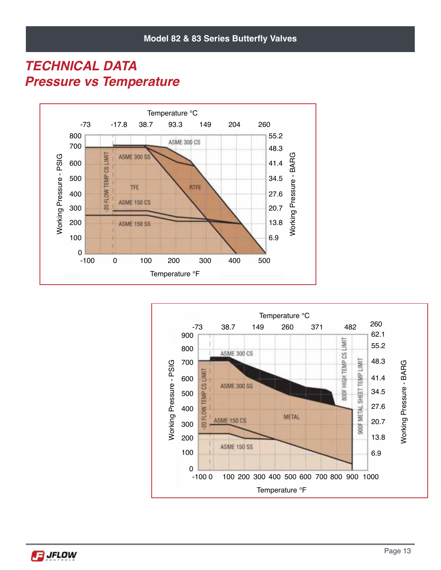#### *TECHNICAL DATA Pressure vs Temperature*





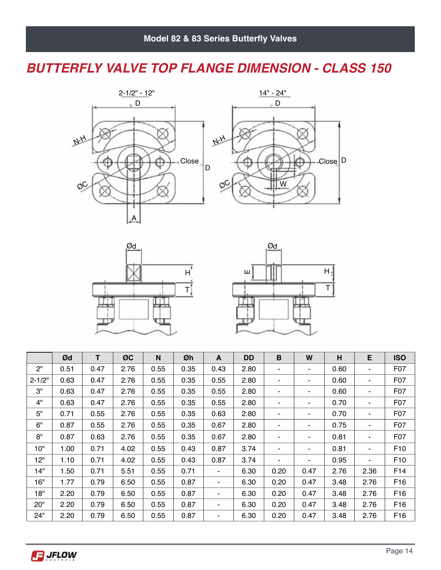#### *BUTTERFLY VALVE TOP FLANGE DIMENSION - CLASS 150*







|            | Ød   | т    | ØC   | N    | Øh   | A    | <b>DD</b> | B    | W              | н    | E    | <b>ISO</b>      |
|------------|------|------|------|------|------|------|-----------|------|----------------|------|------|-----------------|
| 2"         | 0.51 | 0.47 | 2.76 | 0.55 | 0.35 | 0.43 | 2.80      | ٠    | $\blacksquare$ | 0.60 | ۰    | F07             |
| $2 - 1/2"$ | 0.63 | 0.47 | 2.76 | 0.55 | 0.35 | 0.55 | 2.80      | ۰    | ۰              | 0.60 |      | F07             |
| 3"         | 0.63 | 0.47 | 2.76 | 0.55 | 0.35 | 0.55 | 2.80      | ٠    | ۰              | 0.60 |      | F07             |
| 4"         | 0.63 | 0.47 | 2.76 | 0.55 | 0.35 | 0.55 | 2.80      | ٠    | ۰              | 0.70 |      | F07             |
| 5"         | 0.71 | 0.55 | 2.76 | 0.55 | 0.35 | 0.63 | 2.80      | ٠    | ۰              | 0.70 |      | F07             |
| 6"         | 0.87 | 0.55 | 2.76 | 0.55 | 0.35 | 0.67 | 2.80      | ۰    | ۰              | 0.75 |      | F07             |
| 8"         | 0.87 | 0.63 | 2.76 | 0.55 | 0.35 | 0.67 | 2.80      | ٠    | ٠              | 0.81 |      | F07             |
| 10"        | 1.00 | 0.71 | 4.02 | 0.55 | 0.43 | 0.87 | 3.74      | ٠    | ۰              | 0.81 |      | F <sub>10</sub> |
| 12"        | 1.10 | 0.71 | 4.02 | 0.55 | 0.43 | 0.87 | 3.74      |      | ۰              | 0.95 |      | F <sub>10</sub> |
| 14"        | 1.50 | 0.71 | 5.51 | 0.55 | 0.71 | ۰.   | 6.30      | 0.20 | 0.47           | 2.76 | 2.36 | F14             |
| 16"        | 1.77 | 0.79 | 6.50 | 0.55 | 0.87 | ۰    | 6.30      | 0.20 | 0.47           | 3.48 | 2.76 | F <sub>16</sub> |
| 18"        | 2.20 | 0.79 | 6.50 | 0.55 | 0.87 | ۰    | 6.30      | 0.20 | 0.47           | 3.48 | 2.76 | F <sub>16</sub> |
| 20"        | 2.20 | 0.79 | 6.50 | 0.55 | 0.87 | ۰    | 6.30      | 0.20 | 0.47           | 3.48 | 2.76 | F16             |
| 24"        | 2.20 | 0.79 | 6.50 | 0.55 | 0.87 | ۰    | 6.30      | 0.20 | 0.47           | 3.48 | 2.76 | F <sub>16</sub> |

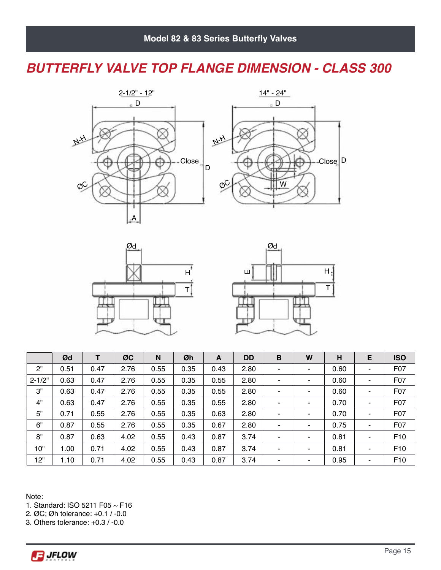#### *BUTTERFLY VALVE TOP FLANGE DIMENSION - CLASS 300*







|            | Ød   | т    | ØC   | N    | Øh   | A    | <b>DD</b> | В | W | н    | E | <b>ISO</b>      |
|------------|------|------|------|------|------|------|-----------|---|---|------|---|-----------------|
| 2"         | 0.51 | 0.47 | 2.76 | 0.55 | 0.35 | 0.43 | 2.80      | ٠ | ۰ | 0.60 |   | F07             |
| $2 - 1/2"$ | 0.63 | 0.47 | 2.76 | 0.55 | 0.35 | 0.55 | 2.80      | ٠ | ۰ | 0.60 |   | F07             |
| 3"         | 0.63 | 0.47 | 2.76 | 0.55 | 0.35 | 0.55 | 2.80      | ٠ | ۰ | 0.60 |   | F07             |
| 4"         | 0.63 | 0.47 | 2.76 | 0.55 | 0.35 | 0.55 | 2.80      |   | ۰ | 0.70 |   | F07             |
| 5"         | 0.71 | 0.55 | 2.76 | 0.55 | 0.35 | 0.63 | 2.80      | ۰ | ۰ | 0.70 |   | F07             |
| 6"         | 0.87 | 0.55 | 2.76 | 0.55 | 0.35 | 0.67 | 2.80      | ٠ | ۰ | 0.75 |   | F07             |
| 8"         | 0.87 | 0.63 | 4.02 | 0.55 | 0.43 | 0.87 | 3.74      | ٠ | ۰ | 0.81 |   | F <sub>10</sub> |
| 10"        | 1.00 | 0.71 | 4.02 | 0.55 | 0.43 | 0.87 | 3.74      | ٠ | ٠ | 0.81 |   | F <sub>10</sub> |
| 12"        | 1.10 | 0.71 | 4.02 | 0.55 | 0.43 | 0.87 | 3.74      | ۰ | ۰ | 0.95 |   | F <sub>10</sub> |

Note:

1. Standard: ISO 5211 F05 ~ F16

2. ØC; Øh tolerance: +0.1 / -0.0

3. Others tolerance: +0.3 / -0.0